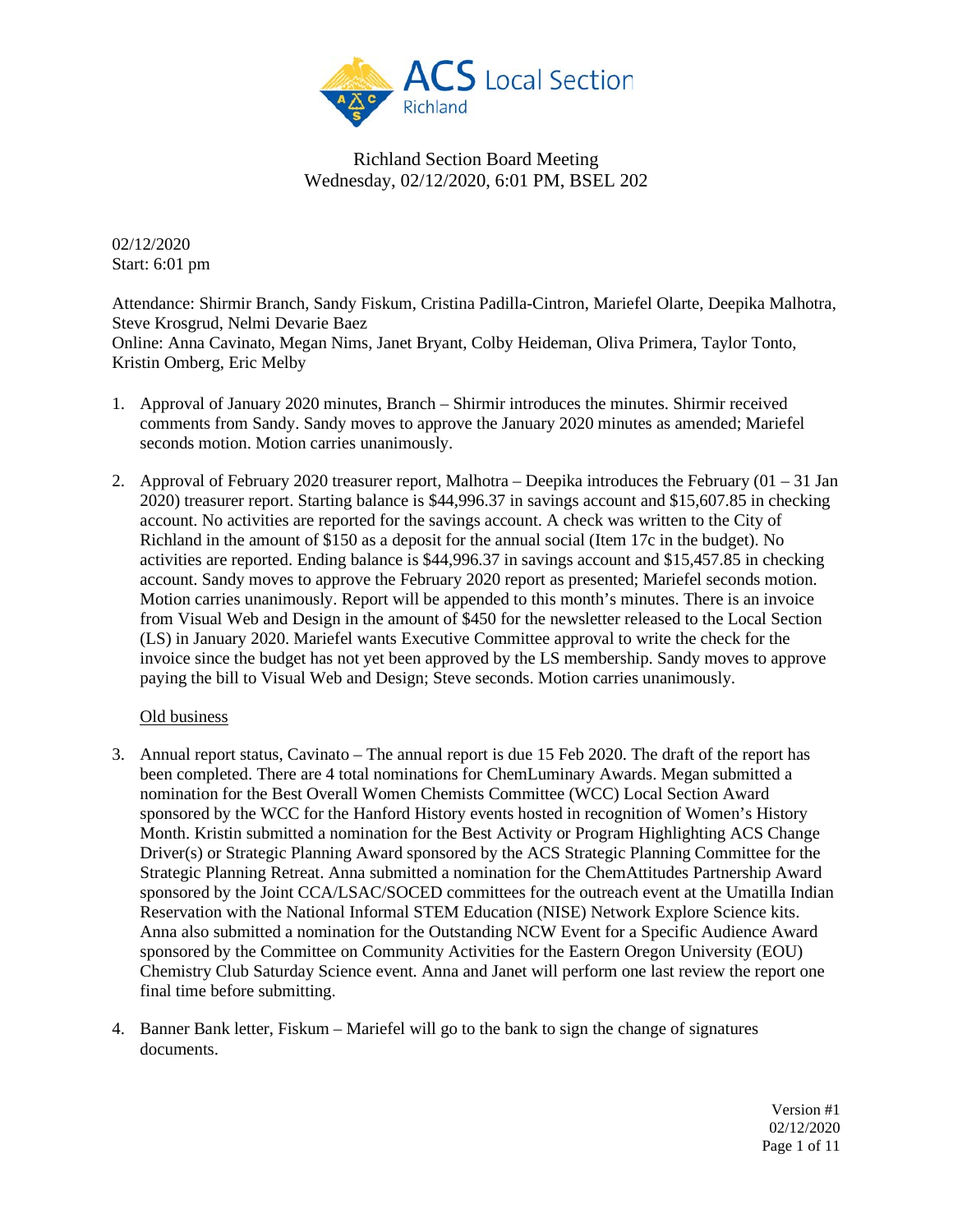

02/12/2020 Start: 6:01 pm

Attendance: Shirmir Branch, Sandy Fiskum, Cristina Padilla-Cintron, Mariefel Olarte, Deepika Malhotra, Steve Krosgrud, Nelmi Devarie Baez Online: Anna Cavinato, Megan Nims, Janet Bryant, Colby Heideman, Oliva Primera, Taylor Tonto, Kristin Omberg, Eric Melby

- 1. Approval of January 2020 minutes, Branch Shirmir introduces the minutes. Shirmir received comments from Sandy. Sandy moves to approve the January 2020 minutes as amended; Mariefel seconds motion. Motion carries unanimously.
- 2. Approval of February 2020 treasurer report, Malhotra Deepika introduces the February (01 31 Jan 2020) treasurer report. Starting balance is \$44,996.37 in savings account and \$15,607.85 in checking account. No activities are reported for the savings account. A check was written to the City of Richland in the amount of \$150 as a deposit for the annual social (Item 17c in the budget). No activities are reported. Ending balance is \$44,996.37 in savings account and \$15,457.85 in checking account. Sandy moves to approve the February 2020 report as presented; Mariefel seconds motion. Motion carries unanimously. Report will be appended to this month's minutes. There is an invoice from Visual Web and Design in the amount of \$450 for the newsletter released to the Local Section (LS) in January 2020. Mariefel wants Executive Committee approval to write the check for the invoice since the budget has not yet been approved by the LS membership. Sandy moves to approve paying the bill to Visual Web and Design; Steve seconds. Motion carries unanimously.

#### Old business

- 3. Annual report status, Cavinato The annual report is due 15 Feb 2020. The draft of the report has been completed. There are 4 total nominations for ChemLuminary Awards. Megan submitted a nomination for the Best Overall Women Chemists Committee (WCC) Local Section Award sponsored by the WCC for the Hanford History events hosted in recognition of Women's History Month. Kristin submitted a nomination for the Best Activity or Program Highlighting ACS Change Driver(s) or Strategic Planning Award sponsored by the ACS Strategic Planning Committee for the Strategic Planning Retreat. Anna submitted a nomination for the ChemAttitudes Partnership Award sponsored by the Joint CCA/LSAC/SOCED committees for the outreach event at the Umatilla Indian Reservation with the National Informal STEM Education (NISE) Network Explore Science kits. Anna also submitted a nomination for the Outstanding NCW Event for a Specific Audience Award sponsored by the Committee on Community Activities for the Eastern Oregon University (EOU) Chemistry Club Saturday Science event. Anna and Janet will perform one last review the report one final time before submitting.
- 4. Banner Bank letter, Fiskum Mariefel will go to the bank to sign the change of signatures documents.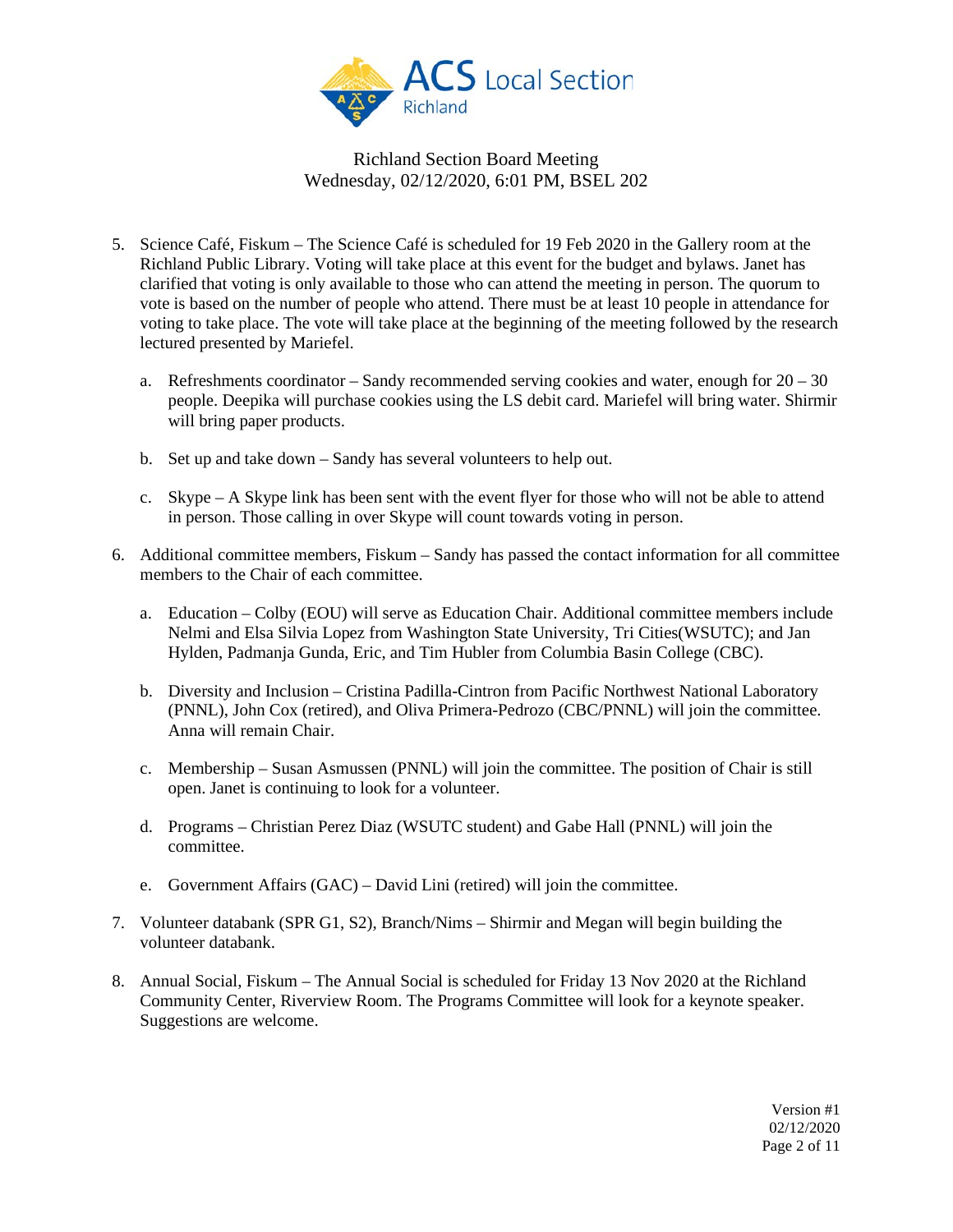

- 5. Science Café, Fiskum The Science Café is scheduled for 19 Feb 2020 in the Gallery room at the Richland Public Library. Voting will take place at this event for the budget and bylaws. Janet has clarified that voting is only available to those who can attend the meeting in person. The quorum to vote is based on the number of people who attend. There must be at least 10 people in attendance for voting to take place. The vote will take place at the beginning of the meeting followed by the research lectured presented by Mariefel.
	- a. Refreshments coordinator Sandy recommended serving cookies and water, enough for  $20 30$ people. Deepika will purchase cookies using the LS debit card. Mariefel will bring water. Shirmir will bring paper products.
	- b. Set up and take down Sandy has several volunteers to help out.
	- c. Skype A Skype link has been sent with the event flyer for those who will not be able to attend in person. Those calling in over Skype will count towards voting in person.
- 6. Additional committee members, Fiskum Sandy has passed the contact information for all committee members to the Chair of each committee.
	- a. Education Colby (EOU) will serve as Education Chair. Additional committee members include Nelmi and Elsa Silvia Lopez from Washington State University, Tri Cities(WSUTC); and Jan Hylden, Padmanja Gunda, Eric, and Tim Hubler from Columbia Basin College (CBC).
	- b. Diversity and Inclusion Cristina Padilla-Cintron from Pacific Northwest National Laboratory (PNNL), John Cox (retired), and Oliva Primera-Pedrozo (CBC/PNNL) will join the committee. Anna will remain Chair.
	- c. Membership Susan Asmussen (PNNL) will join the committee. The position of Chair is still open. Janet is continuing to look for a volunteer.
	- d. Programs Christian Perez Diaz (WSUTC student) and Gabe Hall (PNNL) will join the committee.
	- e. Government Affairs (GAC) David Lini (retired) will join the committee.
- 7. Volunteer databank (SPR G1, S2), Branch/Nims Shirmir and Megan will begin building the volunteer databank.
- 8. Annual Social, Fiskum The Annual Social is scheduled for Friday 13 Nov 2020 at the Richland Community Center, Riverview Room. The Programs Committee will look for a keynote speaker. Suggestions are welcome.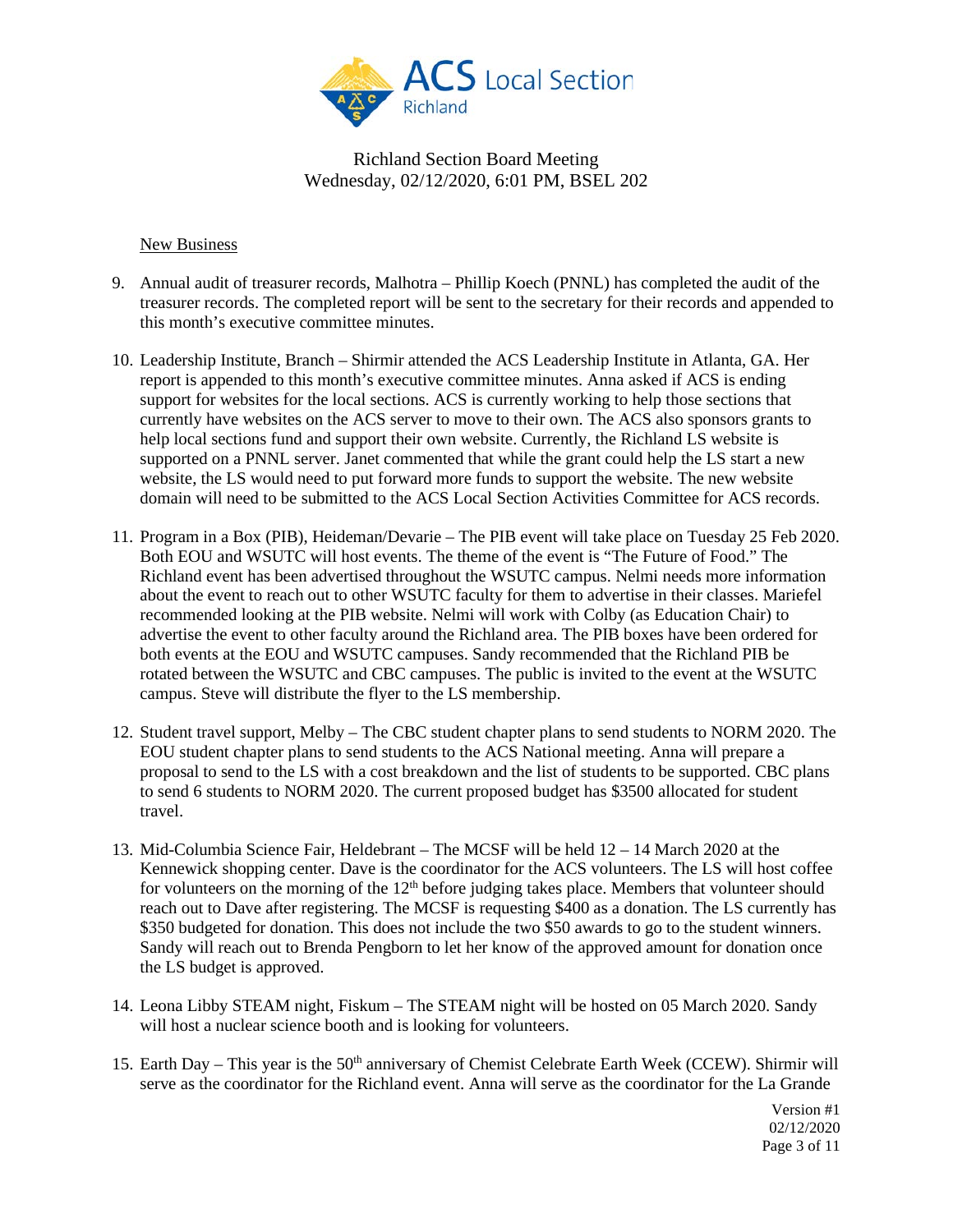

#### New Business

- 9. Annual audit of treasurer records, Malhotra Phillip Koech (PNNL) has completed the audit of the treasurer records. The completed report will be sent to the secretary for their records and appended to this month's executive committee minutes.
- 10. Leadership Institute, Branch Shirmir attended the ACS Leadership Institute in Atlanta, GA. Her report is appended to this month's executive committee minutes. Anna asked if ACS is ending support for websites for the local sections. ACS is currently working to help those sections that currently have websites on the ACS server to move to their own. The ACS also sponsors grants to help local sections fund and support their own website. Currently, the Richland LS website is supported on a PNNL server. Janet commented that while the grant could help the LS start a new website, the LS would need to put forward more funds to support the website. The new website domain will need to be submitted to the ACS Local Section Activities Committee for ACS records.
- 11. Program in a Box (PIB), Heideman/Devarie The PIB event will take place on Tuesday 25 Feb 2020. Both EOU and WSUTC will host events. The theme of the event is "The Future of Food." The Richland event has been advertised throughout the WSUTC campus. Nelmi needs more information about the event to reach out to other WSUTC faculty for them to advertise in their classes. Mariefel recommended looking at the PIB website. Nelmi will work with Colby (as Education Chair) to advertise the event to other faculty around the Richland area. The PIB boxes have been ordered for both events at the EOU and WSUTC campuses. Sandy recommended that the Richland PIB be rotated between the WSUTC and CBC campuses. The public is invited to the event at the WSUTC campus. Steve will distribute the flyer to the LS membership.
- 12. Student travel support, Melby The CBC student chapter plans to send students to NORM 2020. The EOU student chapter plans to send students to the ACS National meeting. Anna will prepare a proposal to send to the LS with a cost breakdown and the list of students to be supported. CBC plans to send 6 students to NORM 2020. The current proposed budget has \$3500 allocated for student travel.
- 13. Mid-Columbia Science Fair, Heldebrant The MCSF will be held 12 14 March 2020 at the Kennewick shopping center. Dave is the coordinator for the ACS volunteers. The LS will host coffee for volunteers on the morning of the  $12<sup>th</sup>$  before judging takes place. Members that volunteer should reach out to Dave after registering. The MCSF is requesting \$400 as a donation. The LS currently has \$350 budgeted for donation. This does not include the two \$50 awards to go to the student winners. Sandy will reach out to Brenda Pengborn to let her know of the approved amount for donation once the LS budget is approved.
- 14. Leona Libby STEAM night, Fiskum The STEAM night will be hosted on 05 March 2020. Sandy will host a nuclear science booth and is looking for volunteers.
- 15. Earth Day This year is the 50<sup>th</sup> anniversary of Chemist Celebrate Earth Week (CCEW). Shirmir will serve as the coordinator for the Richland event. Anna will serve as the coordinator for the La Grande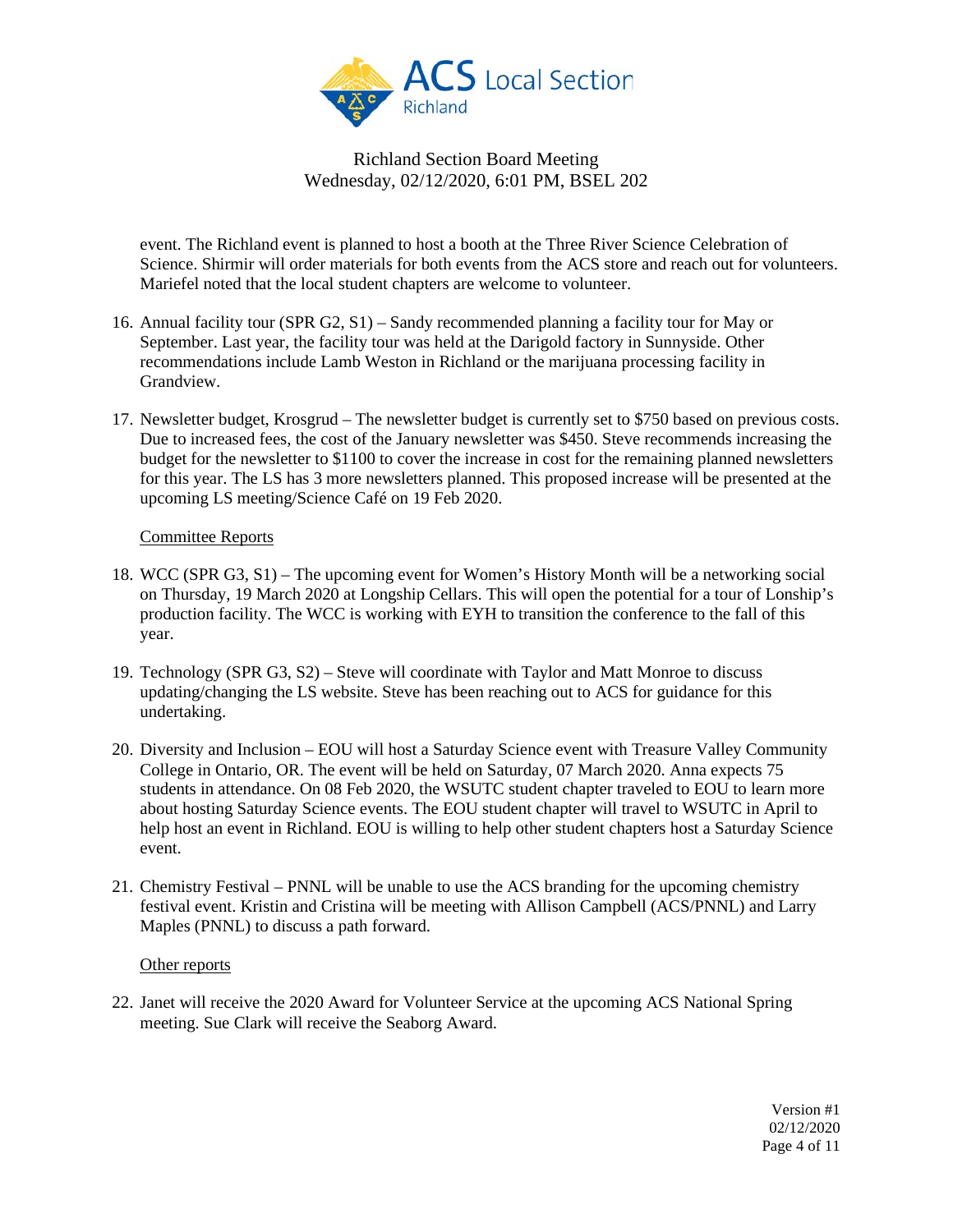

event. The Richland event is planned to host a booth at the Three River Science Celebration of Science. Shirmir will order materials for both events from the ACS store and reach out for volunteers. Mariefel noted that the local student chapters are welcome to volunteer.

- 16. Annual facility tour (SPR G2, S1) Sandy recommended planning a facility tour for May or September. Last year, the facility tour was held at the Darigold factory in Sunnyside. Other recommendations include Lamb Weston in Richland or the marijuana processing facility in Grandview.
- 17. Newsletter budget, Krosgrud The newsletter budget is currently set to \$750 based on previous costs. Due to increased fees, the cost of the January newsletter was \$450. Steve recommends increasing the budget for the newsletter to \$1100 to cover the increase in cost for the remaining planned newsletters for this year. The LS has 3 more newsletters planned. This proposed increase will be presented at the upcoming LS meeting/Science Café on 19 Feb 2020.

### Committee Reports

- 18. WCC (SPR G3, S1) The upcoming event for Women's History Month will be a networking social on Thursday, 19 March 2020 at Longship Cellars. This will open the potential for a tour of Lonship's production facility. The WCC is working with EYH to transition the conference to the fall of this year.
- 19. Technology (SPR G3, S2) Steve will coordinate with Taylor and Matt Monroe to discuss updating/changing the LS website. Steve has been reaching out to ACS for guidance for this undertaking.
- 20. Diversity and Inclusion EOU will host a Saturday Science event with Treasure Valley Community College in Ontario, OR. The event will be held on Saturday, 07 March 2020. Anna expects 75 students in attendance. On 08 Feb 2020, the WSUTC student chapter traveled to EOU to learn more about hosting Saturday Science events. The EOU student chapter will travel to WSUTC in April to help host an event in Richland. EOU is willing to help other student chapters host a Saturday Science event.
- 21. Chemistry Festival PNNL will be unable to use the ACS branding for the upcoming chemistry festival event. Kristin and Cristina will be meeting with Allison Campbell (ACS/PNNL) and Larry Maples (PNNL) to discuss a path forward.

#### Other reports

22. Janet will receive the 2020 Award for Volunteer Service at the upcoming ACS National Spring meeting. Sue Clark will receive the Seaborg Award.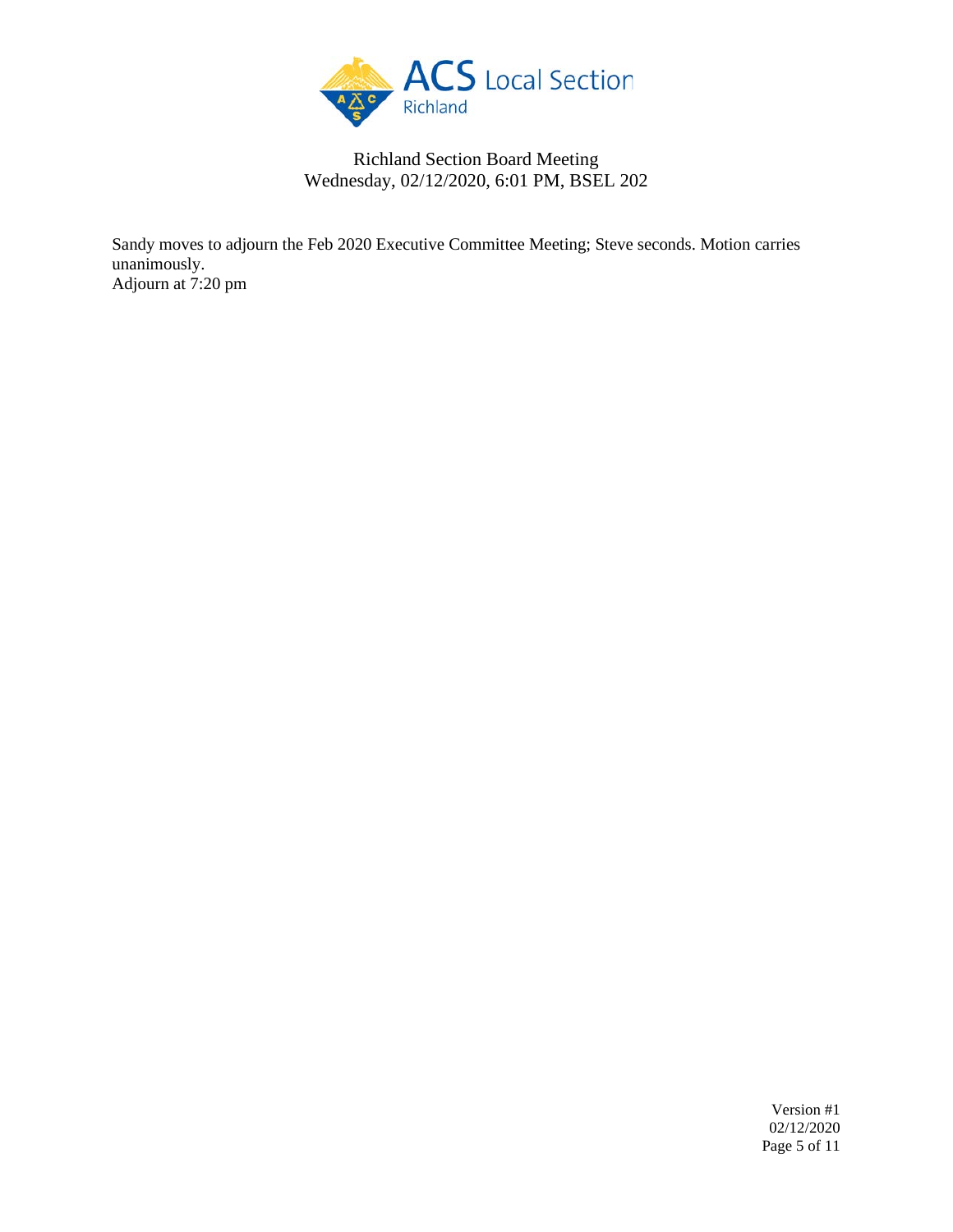

Sandy moves to adjourn the Feb 2020 Executive Committee Meeting; Steve seconds. Motion carries unanimously. Adjourn at 7:20 pm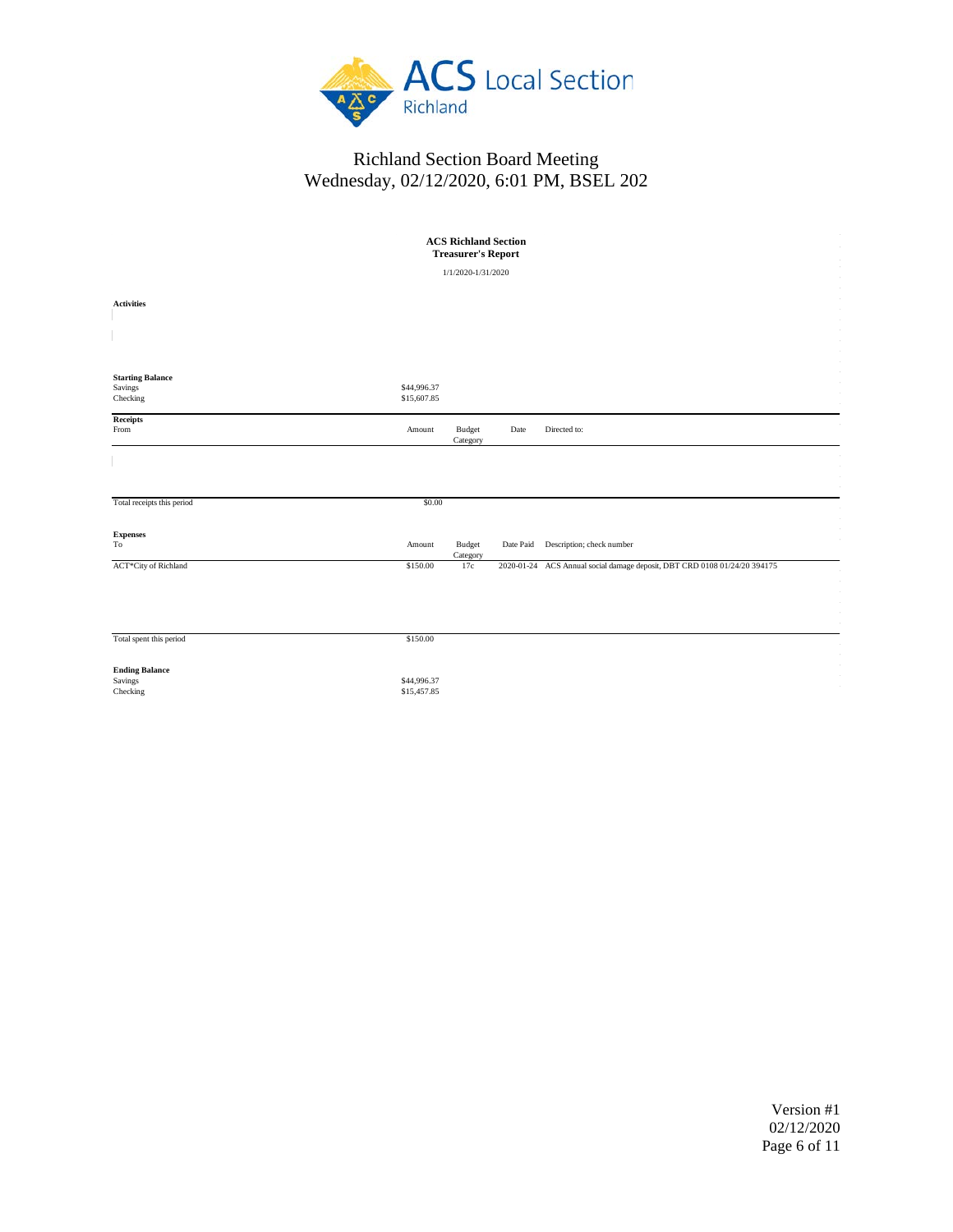

| <b>ACS Richland Section</b><br><b>Treasurer's Report</b> |                            |                           |      |                                                                           |  |  |
|----------------------------------------------------------|----------------------------|---------------------------|------|---------------------------------------------------------------------------|--|--|
|                                                          |                            | 1/1/2020-1/31/2020        |      |                                                                           |  |  |
| <b>Activities</b>                                        |                            |                           |      |                                                                           |  |  |
|                                                          |                            |                           |      |                                                                           |  |  |
| <b>Starting Balance</b><br>Savings<br>Checking           | \$44,996.37<br>\$15,607.85 |                           |      |                                                                           |  |  |
| Receipts<br>From                                         | Amount                     | <b>Budget</b><br>Category | Date | Directed to:                                                              |  |  |
|                                                          | \$0.00                     |                           |      |                                                                           |  |  |
| Total receipts this period                               |                            |                           |      |                                                                           |  |  |
| <b>Expenses</b><br>$_{\rm To}$                           | Amount                     | <b>Budget</b><br>Category |      | Date Paid Description; check number                                       |  |  |
| ACT*City of Richland                                     | \$150.00                   | 17c                       |      | 2020-01-24 ACS Annual social damage deposit, DBT CRD 0108 01/24/20 394175 |  |  |
|                                                          |                            |                           |      |                                                                           |  |  |
| Total spent this period                                  | \$150.00                   |                           |      |                                                                           |  |  |
| <b>Ending Balance</b><br>Savings<br>Checking             | \$44,996.37<br>\$15,457.85 |                           |      |                                                                           |  |  |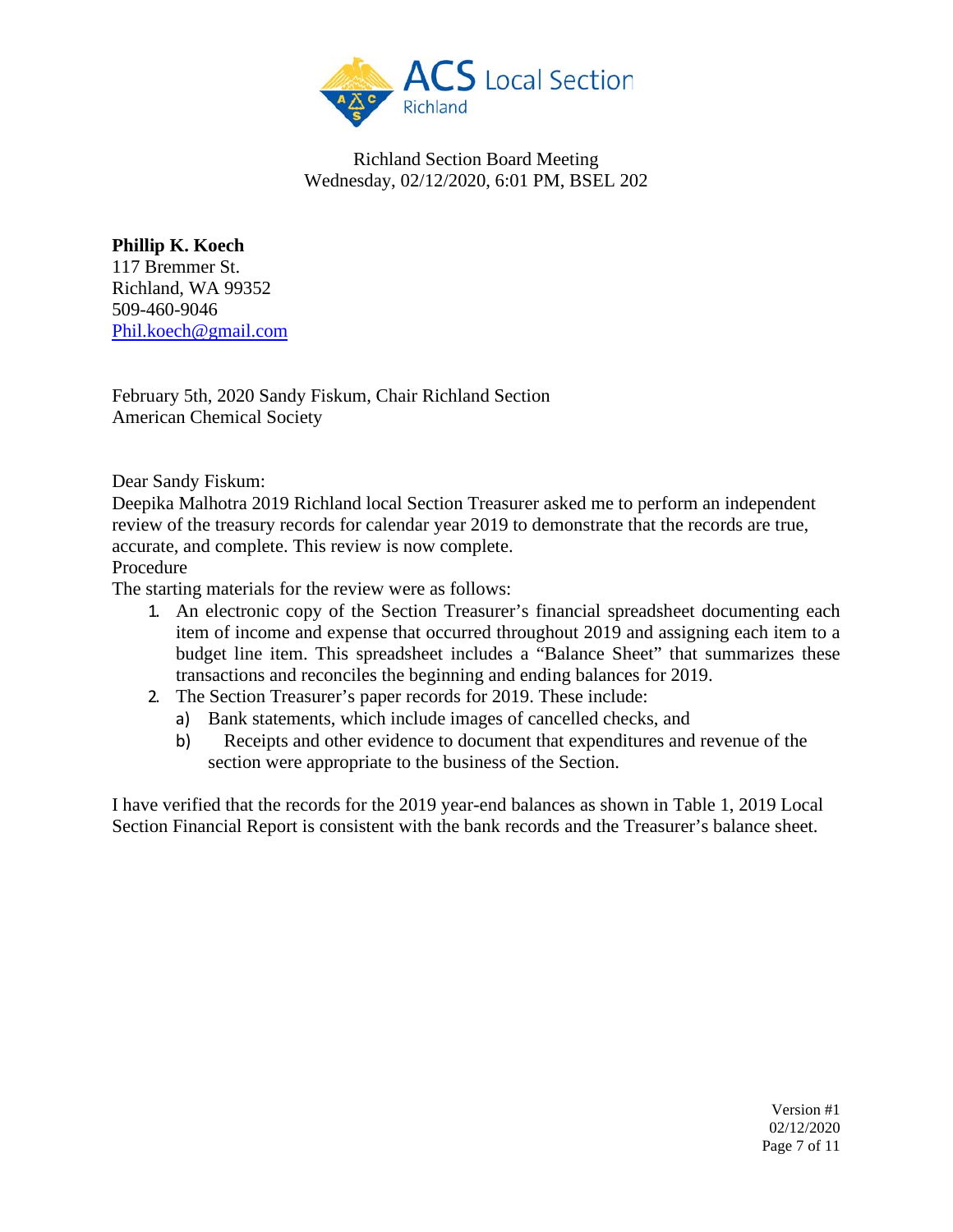

**Phillip K. Koech** 117 Bremmer St. Richland, WA 99352 509-460-9046 [Phil.koech@gmail.com](mailto:Phil.koech@gmail.com)

February 5th, 2020 Sandy Fiskum, Chair Richland Section American Chemical Society

Dear Sandy Fiskum:

Deepika Malhotra 2019 Richland local Section Treasurer asked me to perform an independent review of the treasury records for calendar year 2019 to demonstrate that the records are true, accurate, and complete. This review is now complete.

Procedure

The starting materials for the review were as follows:

- 1. An electronic copy of the Section Treasurer's financial spreadsheet documenting each item of income and expense that occurred throughout 2019 and assigning each item to a budget line item. This spreadsheet includes a "Balance Sheet" that summarizes these transactions and reconciles the beginning and ending balances for 2019.
- 2. The Section Treasurer's paper records for 2019. These include:
	- a) Bank statements, which include images of cancelled checks, and
	- b) Receipts and other evidence to document that expenditures and revenue of the section were appropriate to the business of the Section.

I have verified that the records for the 2019 year-end balances as shown in Table 1, 2019 Local Section Financial Report is consistent with the bank records and the Treasurer's balance sheet.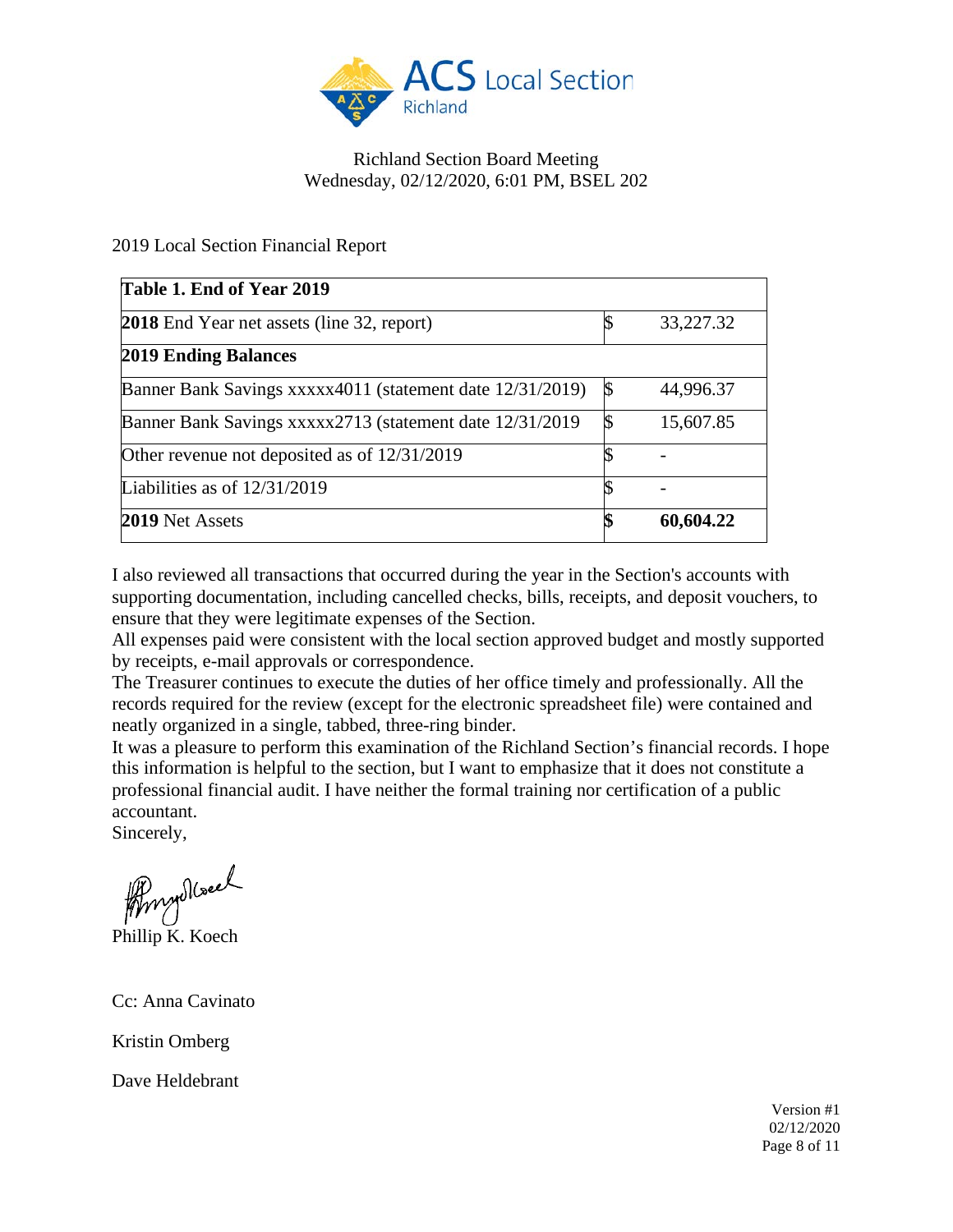

## 2019 Local Section Financial Report

| Table 1. End of Year 2019                                 |               |           |
|-----------------------------------------------------------|---------------|-----------|
| <b>2018</b> End Year net assets (line 32, report)         |               | 33,227.32 |
| 2019 Ending Balances                                      |               |           |
| Banner Bank Savings xxxxx4011 (statement date 12/31/2019) | $\mathcal{S}$ | 44,996.37 |
| Banner Bank Savings xxxxx2713 (statement date 12/31/2019) | \$            | 15,607.85 |
| Other revenue not deposited as of 12/31/2019              |               |           |
| Liabilities as of 12/31/2019                              |               |           |
| 2019 Net Assets                                           | \$            | 60,604.22 |

I also reviewed all transactions that occurred during the year in the Section's accounts with supporting documentation, including cancelled checks, bills, receipts, and deposit vouchers, to ensure that they were legitimate expenses of the Section.

All expenses paid were consistent with the local section approved budget and mostly supported by receipts, e-mail approvals or correspondence.

The Treasurer continues to execute the duties of her office timely and professionally. All the records required for the review (except for the electronic spreadsheet file) were contained and neatly organized in a single, tabbed, three-ring binder.

It was a pleasure to perform this examination of the Richland Section's financial records. I hope this information is helpful to the section, but I want to emphasize that it does not constitute a professional financial audit. I have neither the formal training nor certification of a public accountant.

Sincerely,

Phillip K. Koech

Cc: Anna Cavinato

Kristin Omberg

Dave Heldebrant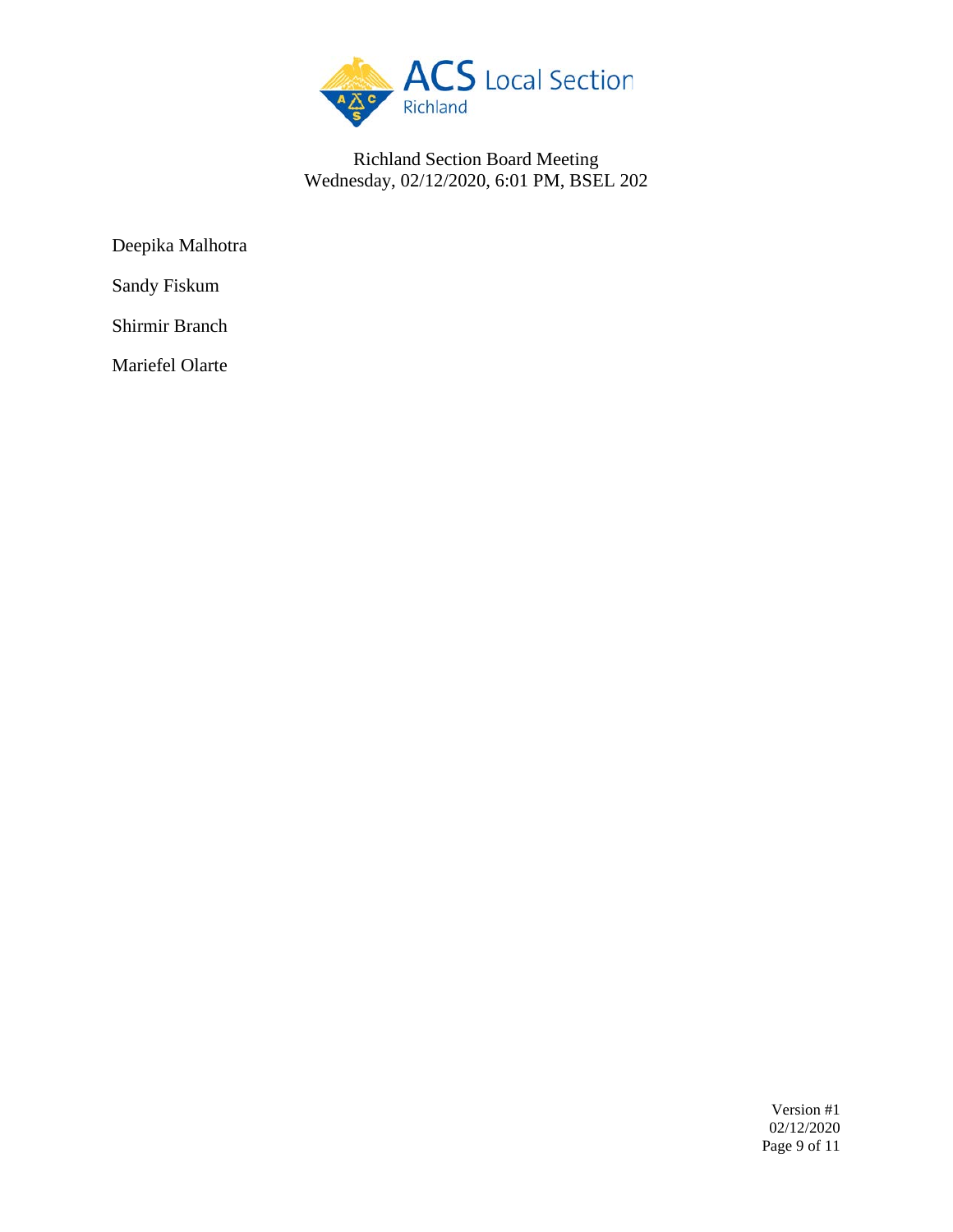

Deepika Malhotra

Sandy Fiskum

Shirmir Branch

Mariefel Olarte

Version #1 02/12/2020 Page 9 of 11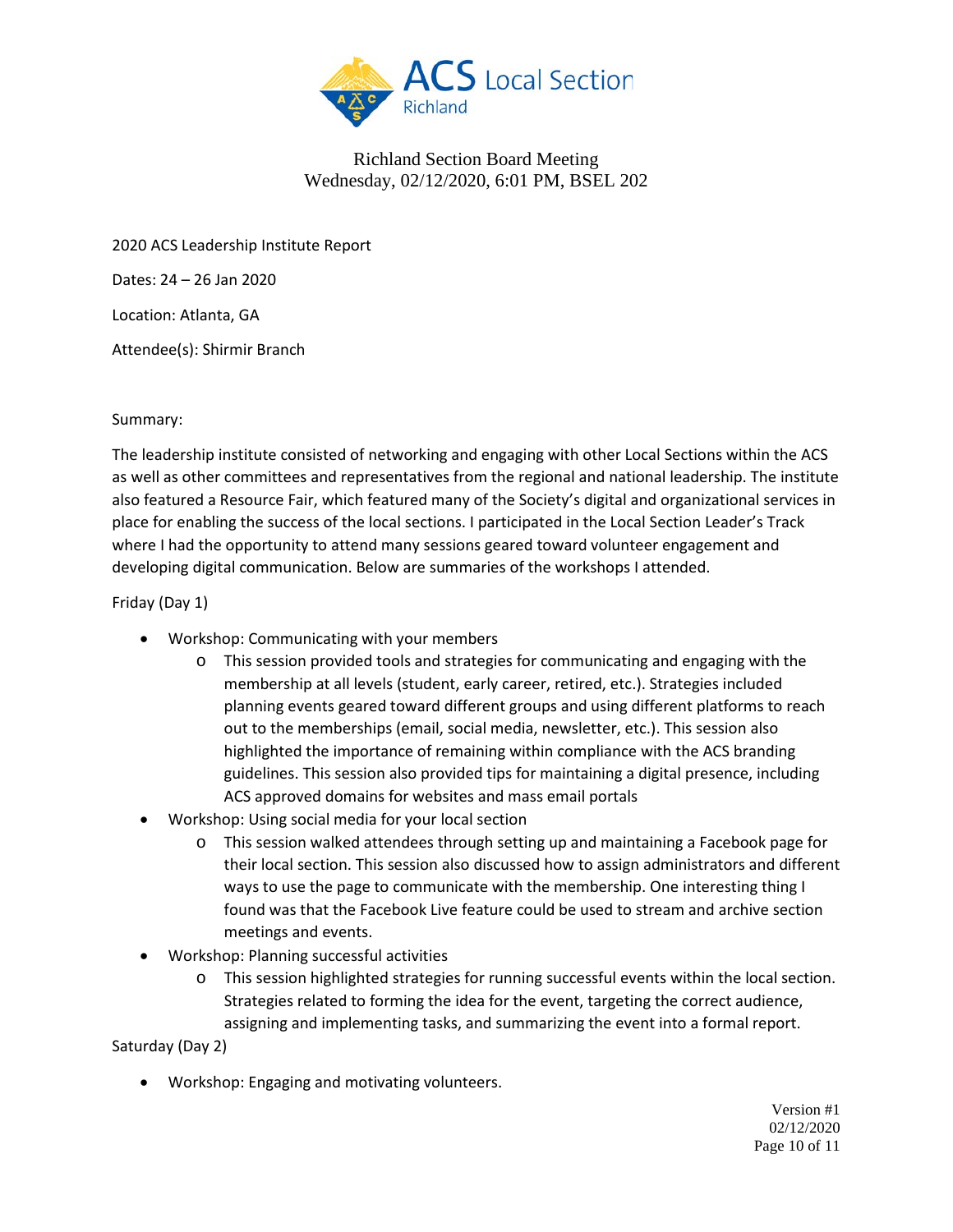

2020 ACS Leadership Institute Report

Dates: 24 – 26 Jan 2020

Location: Atlanta, GA

Attendee(s): Shirmir Branch

### Summary:

The leadership institute consisted of networking and engaging with other Local Sections within the ACS as well as other committees and representatives from the regional and national leadership. The institute also featured a Resource Fair, which featured many of the Society's digital and organizational services in place for enabling the success of the local sections. I participated in the Local Section Leader's Track where I had the opportunity to attend many sessions geared toward volunteer engagement and developing digital communication. Below are summaries of the workshops I attended.

### Friday (Day 1)

- Workshop: Communicating with your members
	- $\circ$  This session provided tools and strategies for communicating and engaging with the membership at all levels (student, early career, retired, etc.). Strategies included planning events geared toward different groups and using different platforms to reach out to the memberships (email, social media, newsletter, etc.). This session also highlighted the importance of remaining within compliance with the ACS branding guidelines. This session also provided tips for maintaining a digital presence, including ACS approved domains for websites and mass email portals
- Workshop: Using social media for your local section
	- o This session walked attendees through setting up and maintaining a Facebook page for their local section. This session also discussed how to assign administrators and different ways to use the page to communicate with the membership. One interesting thing I found was that the Facebook Live feature could be used to stream and archive section meetings and events.
- Workshop: Planning successful activities
	- o This session highlighted strategies for running successful events within the local section. Strategies related to forming the idea for the event, targeting the correct audience, assigning and implementing tasks, and summarizing the event into a formal report.

Saturday (Day 2)

• Workshop: Engaging and motivating volunteers.